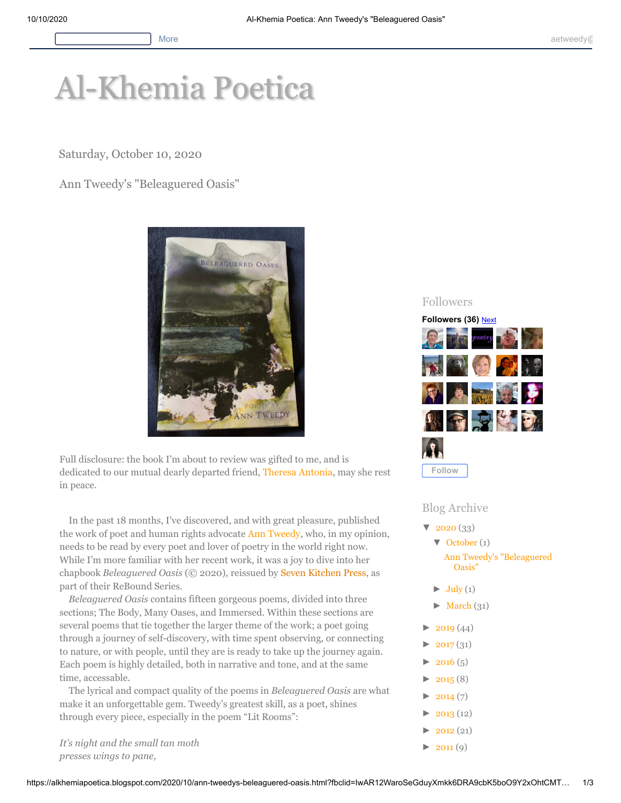# [Al-Khemia Poetica](https://alkhemiapoetica.blogspot.com/)

Saturday, October 10, 2020

# Ann Tweedy's "Beleaguered Oasis"



Full disclosure: the book I'm about to review was gifted to me, and is dedicated to our mutual dearly departed friend, Theresa [Antonia](https://poeticdiversity.org/main/poets2.php?nameCode=TheresaAntonia), may she rest in peace.

In the past 18 months, I've discovered, and with great pleasure, published the work of poet and human rights advocate Ann [Tweedy](https://alkhemiapoetica.blogspot.com/2020/10/www.anntweedy.com), who, in my opinion, needs to be read by every poet and lover of poetry in the world right now. While I'm more familiar with her recent work, it was a joy to dive into her chapbook *Beleaguered Oasis* (© 2020), reissued by Seven [Kitchen](https://sevenkitchenspress.com/) Press, as part of their ReBound Series.

*Beleaguered Oasis* contains fifteen gorgeous poems, divided into three sections; The Body, Many Oases, and Immersed. Within these sections are several poems that tie together the larger theme of the work; a poet going through a journey of self-discovery, with time spent observing, or connecting to nature, or with people, until they are is ready to take up the journey again. Each poem is highly detailed, both in narrative and tone, and at the same time, accessable.

The lyrical and compact quality of the poems in *Beleaguered Oasis* are what make it an unforgettable gem. Tweedy's greatest skill, as a poet, shines through every piece, especially in the poem "Lit Rooms":

*It's night and the small tan moth presses wings to pane,*

## Followers



### Blog Archive

- $\sqrt{2020} (33)$ 
	- [▼](javascript:void(0)) [October](https://alkhemiapoetica.blogspot.com/2020/10/) (1) [Ann Tweedy's "Beleaguered](https://alkhemiapoetica.blogspot.com/2020/10/ann-tweedys-beleaguered-oasis.html) Oasis"
	- $\blacktriangleright$  [July \(](https://alkhemiapoetica.blogspot.com/2020/07/)1)
	- $\blacktriangleright$  [March](https://alkhemiapoetica.blogspot.com/2020/03/) (31)
- $\blacktriangleright$  [2019](https://alkhemiapoetica.blogspot.com/2019/) (44)
- $2017(31)$
- $2016(5)$
- $2015(8)$
- $2014(7)$
- $2013(12)$
- $2012(21)$
- $\blacktriangleright$  [2011 \(](https://alkhemiapoetica.blogspot.com/2011/)9)